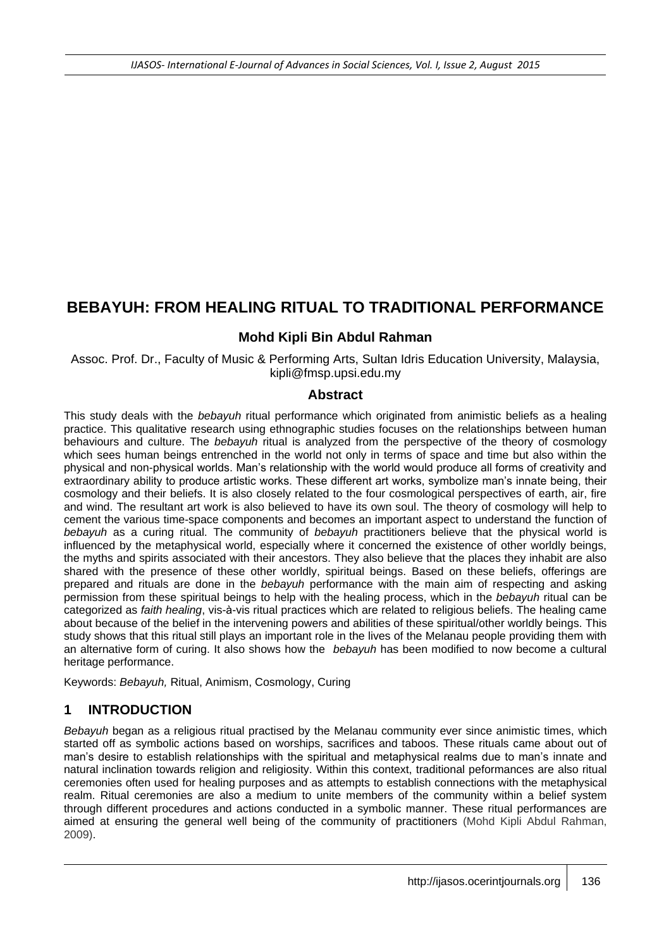# **BEBAYUH: FROM HEALING RITUAL TO TRADITIONAL PERFORMANCE**

#### **Mohd Kipli Bin Abdul Rahman**

Assoc. Prof. Dr., Faculty of Music & Performing Arts, Sultan Idris Education University, Malaysia, kipli@fmsp.upsi.edu.my

#### **Abstract**

This study deals with the *bebayuh* ritual performance which originated from animistic beliefs as a healing practice. This qualitative research using ethnographic studies focuses on the relationships between human behaviours and culture. The *bebayuh* ritual is analyzed from the perspective of the theory of cosmology which sees human beings entrenched in the world not only in terms of space and time but also within the physical and non-physical worlds. Man's relationship with the world would produce all forms of creativity and extraordinary ability to produce artistic works. These different art works, symbolize man's innate being, their cosmology and their beliefs. It is also closely related to the four cosmological perspectives of earth, air, fire and wind. The resultant art work is also believed to have its own soul. The theory of cosmology will help to cement the various time-space components and becomes an important aspect to understand the function of *bebayuh* as a curing ritual. The community of *bebayuh* practitioners believe that the physical world is influenced by the metaphysical world, especially where it concerned the existence of other worldly beings, the myths and spirits associated with their ancestors. They also believe that the places they inhabit are also shared with the presence of these other worldly, spiritual beings. Based on these beliefs, offerings are prepared and rituals are done in the *bebayuh* performance with the main aim of respecting and asking permission from these spiritual beings to help with the healing process, which in the *bebayuh* ritual can be categorized as *faith healing*, vis-à-vis ritual practices which are related to religious beliefs. The healing came about because of the belief in the intervening powers and abilities of these spiritual/other worldly beings. This study shows that this ritual still plays an important role in the lives of the Melanau people providing them with an alternative form of curing. It also shows how the *bebayuh* has been modified to now become a cultural heritage performance.

Keywords: *Bebayuh,* Ritual, Animism, Cosmology, Curing

# **1 INTRODUCTION**

*Bebayuh* began as a religious ritual practised by the Melanau community ever since animistic times, which started off as symbolic actions based on worships, sacrifices and taboos. These rituals came about out of man's desire to establish relationships with the spiritual and metaphysical realms due to man's innate and natural inclination towards religion and religiosity. Within this context, traditional peformances are also ritual ceremonies often used for healing purposes and as attempts to establish connections with the metaphysical realm. Ritual ceremonies are also a medium to unite members of the community within a belief system through different procedures and actions conducted in a symbolic manner. These ritual performances are aimed at ensuring the general well being of the community of practitioners (Mohd Kipli Abdul Rahman, 2009).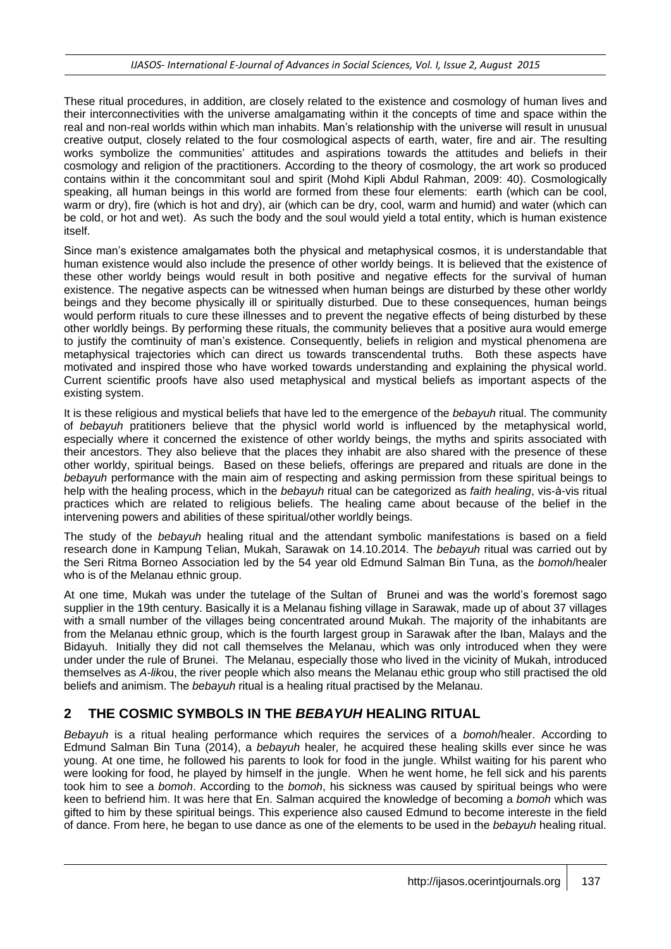These ritual procedures, in addition, are closely related to the existence and cosmology of human lives and their interconnectivities with the universe amalgamating within it the concepts of time and space within the real and non-real worlds within which man inhabits. Man's relationship with the universe will result in unusual creative output, closely related to the four cosmological aspects of earth, water, fire and air. The resulting works symbolize the communities' attitudes and aspirations towards the attitudes and beliefs in their cosmology and religion of the practitioners. According to the theory of cosmology, the art work so produced contains within it the concommitant soul and spirit (Mohd Kipli Abdul Rahman, 2009: 40). Cosmologically speaking, all human beings in this world are formed from these four elements: earth (which can be cool, warm or dry), fire (which is hot and dry), air (which can be dry, cool, warm and humid) and water (which can be cold, or hot and wet). As such the body and the soul would yield a total entity, which is human existence itself.

Since man's existence amalgamates both the physical and metaphysical cosmos, it is understandable that human existence would also include the presence of other worldy beings. It is believed that the existence of these other worldy beings would result in both positive and negative effects for the survival of human existence. The negative aspects can be witnessed when human beings are disturbed by these other worldy beings and they become physically ill or spiritually disturbed. Due to these consequences, human beings would perform rituals to cure these illnesses and to prevent the negative effects of being disturbed by these other worldly beings. By performing these rituals, the community believes that a positive aura would emerge to justify the comtinuity of man's existence. Consequently, beliefs in religion and mystical phenomena are metaphysical trajectories which can direct us towards transcendental truths. Both these aspects have motivated and inspired those who have worked towards understanding and explaining the physical world. Current scientific proofs have also used metaphysical and mystical beliefs as important aspects of the existing system.

It is these religious and mystical beliefs that have led to the emergence of the *bebayuh* ritual. The community of *bebayuh* pratitioners believe that the physicl world world is influenced by the metaphysical world, especially where it concerned the existence of other worldy beings, the myths and spirits associated with their ancestors. They also believe that the places they inhabit are also shared with the presence of these other worldy, spiritual beings. Based on these beliefs, offerings are prepared and rituals are done in the *bebayuh* performance with the main aim of respecting and asking permission from these spiritual beings to help with the healing process, which in the *bebayuh* ritual can be categorized as *faith healing*, vis-à-vis ritual practices which are related to religious beliefs. The healing came about because of the belief in the intervening powers and abilities of these spiritual/other worldly beings.

The study of the *bebayuh* healing ritual and the attendant symbolic manifestations is based on a field research done in Kampung Telian, Mukah, Sarawak on 14.10.2014. The *bebayuh* ritual was carried out by the Seri Ritma Borneo Association led by the 54 year old Edmund Salman Bin Tuna, as the *bomoh*/healer who is of the Melanau ethnic group.

At one time, Mukah was under the tutelage of the Sultan of Brunei and was the world's foremost sago supplier in the 19th century. Basically it is a Melanau fishing village in Sarawak, made up of about 37 villages with a small number of the villages being concentrated around Mukah. The majority of the inhabitants are from the Melanau ethnic group, which is the fourth largest group in Sarawak after the Iban, Malays and the Bidayuh. Initially they did not call themselves the Melanau, which was only introduced when they were under under the rule of Brunei. The Melanau, especially those who lived in the vicinity of Mukah, introduced themselves as *A-lik*ou, the river people which also means the Melanau ethic group who still practised the old beliefs and animism. The *bebayuh* ritual is a healing ritual practised by the Melanau.

# **2 THE COSMIC SYMBOLS IN THE** *BEBAYUH* **HEALING RITUAL**

*Bebayuh* is a ritual healing performance which requires the services of a *bomoh*/healer. According to Edmund Salman Bin Tuna (2014), a *bebayuh* healer*,* he acquired these healing skills ever since he was young. At one time, he followed his parents to look for food in the jungle. Whilst waiting for his parent who were looking for food, he played by himself in the jungle. When he went home, he fell sick and his parents took him to see a *bomoh*. According to the *bomoh*, his sickness was caused by spiritual beings who were keen to befriend him. It was here that En. Salman acquired the knowledge of becoming a *bomoh* which was gifted to him by these spiritual beings. This experience also caused Edmund to become intereste in the field of dance. From here, he began to use dance as one of the elements to be used in the *bebayuh* healing ritual.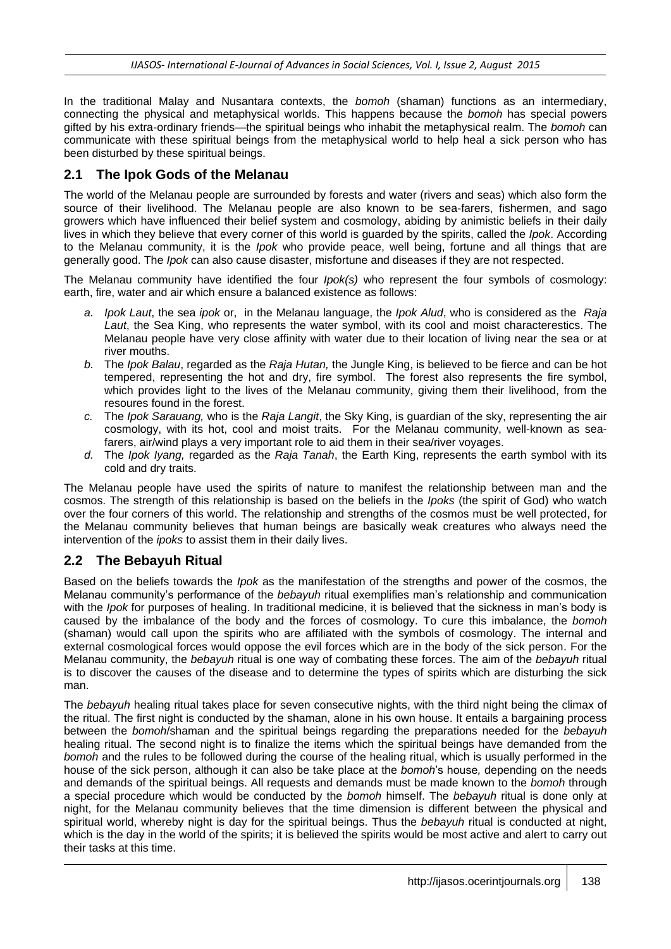In the traditional Malay and Nusantara contexts, the *bomoh* (shaman) functions as an intermediary, connecting the physical and metaphysical worlds. This happens because the *bomoh* has special powers gifted by his extra-ordinary friends—the spiritual beings who inhabit the metaphysical realm. The *bomoh* can communicate with these spiritual beings from the metaphysical world to help heal a sick person who has been disturbed by these spiritual beings.

### **2.1 The Ipok Gods of the Melanau**

The world of the Melanau people are surrounded by forests and water (rivers and seas) which also form the source of their livelihood. The Melanau people are also known to be sea-farers, fishermen, and sago growers which have influenced their belief system and cosmology, abiding by animistic beliefs in their daily lives in which they believe that every corner of this world is guarded by the spirits, called the *Ipok*. According to the Melanau community, it is the *Ipok* who provide peace, well being, fortune and all things that are generally good. The *Ipok* can also cause disaster, misfortune and diseases if they are not respected.

The Melanau community have identified the four *Ipok(s)* who represent the four symbols of cosmology: earth, fire, water and air which ensure a balanced existence as follows:

- *a. Ipok Laut*, the sea *ipok* or, in the Melanau language, the *Ipok Alud*, who is considered as the *Raja Laut*, the Sea King, who represents the water symbol, with its cool and moist characterestics. The Melanau people have very close affinity with water due to their location of living near the sea or at river mouths.
- *b.* The *Ipok Balau*, regarded as the *Raja Hutan,* the Jungle King, is believed to be fierce and can be hot tempered, representing the hot and dry, fire symbol. The forest also represents the fire symbol, which provides light to the lives of the Melanau community, giving them their livelihood, from the resoures found in the forest.
- *c.* The *Ipok Sarauang,* who is the *Raja Langit*, the Sky King, is guardian of the sky, representing the air cosmology, with its hot, cool and moist traits. For the Melanau community, well-known as seafarers, air/wind plays a very important role to aid them in their sea/river voyages.
- *d.* The *Ipok Iyang,* regarded as the *Raja Tanah*, the Earth King, represents the earth symbol with its cold and dry traits.

The Melanau people have used the spirits of nature to manifest the relationship between man and the cosmos. The strength of this relationship is based on the beliefs in the *Ipoks* (the spirit of God) who watch over the four corners of this world. The relationship and strengths of the cosmos must be well protected, for the Melanau community believes that human beings are basically weak creatures who always need the intervention of the *ipoks* to assist them in their daily lives.

### **2.2 The Bebayuh Ritual**

Based on the beliefs towards the *Ipok* as the manifestation of the strengths and power of the cosmos, the Melanau community's performance of the *bebayuh* ritual exemplifies man's relationship and communication with the *Ipok* for purposes of healing. In traditional medicine, it is believed that the sickness in man's body is caused by the imbalance of the body and the forces of cosmology. To cure this imbalance, the *bomoh* (shaman) would call upon the spirits who are affiliated with the symbols of cosmology. The internal and external cosmological forces would oppose the evil forces which are in the body of the sick person. For the Melanau community, the *bebayuh* ritual is one way of combating these forces. The aim of the *bebayuh* ritual is to discover the causes of the disease and to determine the types of spirits which are disturbing the sick man.

The *bebayuh* healing ritual takes place for seven consecutive nights, with the third night being the climax of the ritual. The first night is conducted by the shaman, alone in his own house. It entails a bargaining process between the *bomoh*/shaman and the spiritual beings regarding the preparations needed for the *bebayuh* healing ritual. The second night is to finalize the items which the spiritual beings have demanded from the *bomoh* and the rules to be followed during the course of the healing ritual, which is usually performed in the house of the sick person, although it can also be take place at the *bomoh*'s house*,* depending on the needs and demands of the spiritual beings. All requests and demands must be made known to the *bomoh* through a special procedure which would be conducted by the *bomoh* himself. The *bebayuh* ritual is done only at night, for the Melanau community believes that the time dimension is different between the physical and spiritual world, whereby night is day for the spiritual beings. Thus the *bebayuh* ritual is conducted at night, which is the day in the world of the spirits; it is believed the spirits would be most active and alert to carry out their tasks at this time.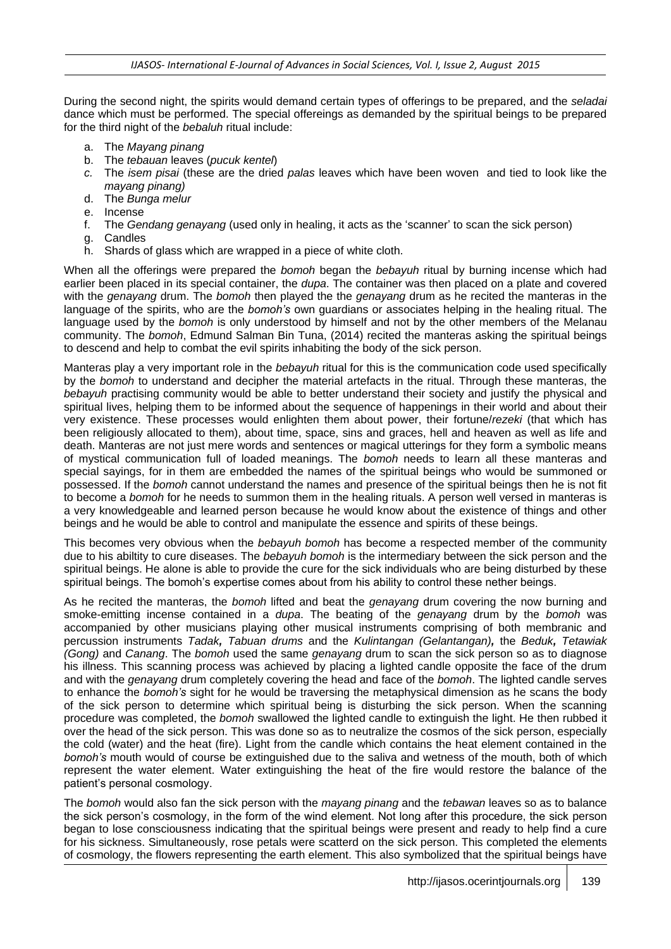During the second night, the spirits would demand certain types of offerings to be prepared, and the *seladai* dance which must be performed. The special offereings as demanded by the spiritual beings to be prepared for the third night of the *bebaluh* ritual include:

- a. The *Mayang pinang*
- b. The *tebauan* leaves (*pucuk kentel*)
- *c.* The *isem pisai* (these are the dried *palas* leaves which have been woven and tied to look like the *mayang pinang)*
- d. The *Bunga melur*
- e. Incense
- f. The *Gendang genayang* (used only in healing, it acts as the 'scanner' to scan the sick person)
- g. Candles
- h. Shards of glass which are wrapped in a piece of white cloth.

When all the offerings were prepared the *bomoh* began the *bebayuh* ritual by burning incense which had earlier been placed in its special container, the *dupa*. The container was then placed on a plate and covered with the *genayang* drum. The *bomoh* then played the the *genayang* drum as he recited the manteras in the language of the spirits, who are the *bomoh's* own guardians or associates helping in the healing ritual. The language used by the *bomoh* is only understood by himself and not by the other members of the Melanau community. The *bomoh*, Edmund Salman Bin Tuna, (2014) recited the manteras asking the spiritual beings to descend and help to combat the evil spirits inhabiting the body of the sick person.

Manteras play a very important role in the *bebayuh* ritual for this is the communication code used specifically by the *bomoh* to understand and decipher the material artefacts in the ritual. Through these manteras, the *bebayuh* practising community would be able to better understand their society and justify the physical and spiritual lives, helping them to be informed about the sequence of happenings in their world and about their very existence. These processes would enlighten them about power, their fortune/*rezeki* (that which has been religiously allocated to them), about time, space, sins and graces, hell and heaven as well as life and death. Manteras are not just mere words and sentences or magical utterings for they form a symbolic means of mystical communication full of loaded meanings. The *bomoh* needs to learn all these manteras and special sayings, for in them are embedded the names of the spiritual beings who would be summoned or possessed. If the *bomoh* cannot understand the names and presence of the spiritual beings then he is not fit to become a *bomoh* for he needs to summon them in the healing rituals. A person well versed in manteras is a very knowledgeable and learned person because he would know about the existence of things and other beings and he would be able to control and manipulate the essence and spirits of these beings.

This becomes very obvious when the *bebayuh bomoh* has become a respected member of the community due to his abiltity to cure diseases. The *bebayuh bomoh* is the intermediary between the sick person and the spiritual beings. He alone is able to provide the cure for the sick individuals who are being disturbed by these spiritual beings. The bomoh's expertise comes about from his ability to control these nether beings.

As he recited the manteras, the *bomoh* lifted and beat the *genayang* drum covering the now burning and smoke-emitting incense contained in a *dupa*. The beating of the *genayang* drum by the *bomoh* was accompanied by other musicians playing other musical instruments comprising of both membranic and percussion instruments *Tadak, Tabuan drums* and the *Kulintangan (Gelantangan),* the *Beduk, Tetawiak (Gong)* and *Canang*. The *bomoh* used the same *genayang* drum to scan the sick person so as to diagnose his illness. This scanning process was achieved by placing a lighted candle opposite the face of the drum and with the *genayang* drum completely covering the head and face of the *bomoh*. The lighted candle serves to enhance the *bomoh's* sight for he would be traversing the metaphysical dimension as he scans the body of the sick person to determine which spiritual being is disturbing the sick person. When the scanning procedure was completed, the *bomoh* swallowed the lighted candle to extinguish the light. He then rubbed it over the head of the sick person. This was done so as to neutralize the cosmos of the sick person, especially the cold (water) and the heat (fire). Light from the candle which contains the heat element contained in the *bomoh's* mouth would of course be extinguished due to the saliva and wetness of the mouth, both of which represent the water element. Water extinguishing the heat of the fire would restore the balance of the patient's personal cosmology.

The *bomoh* would also fan the sick person with the *mayang pinang* and the *tebawan* leaves so as to balance the sick person's cosmology, in the form of the wind element. Not long after this procedure, the sick person began to lose consciousness indicating that the spiritual beings were present and ready to help find a cure for his sickness. Simultaneously, rose petals were scatterd on the sick person. This completed the elements of cosmology, the flowers representing the earth element. This also symbolized that the spiritual beings have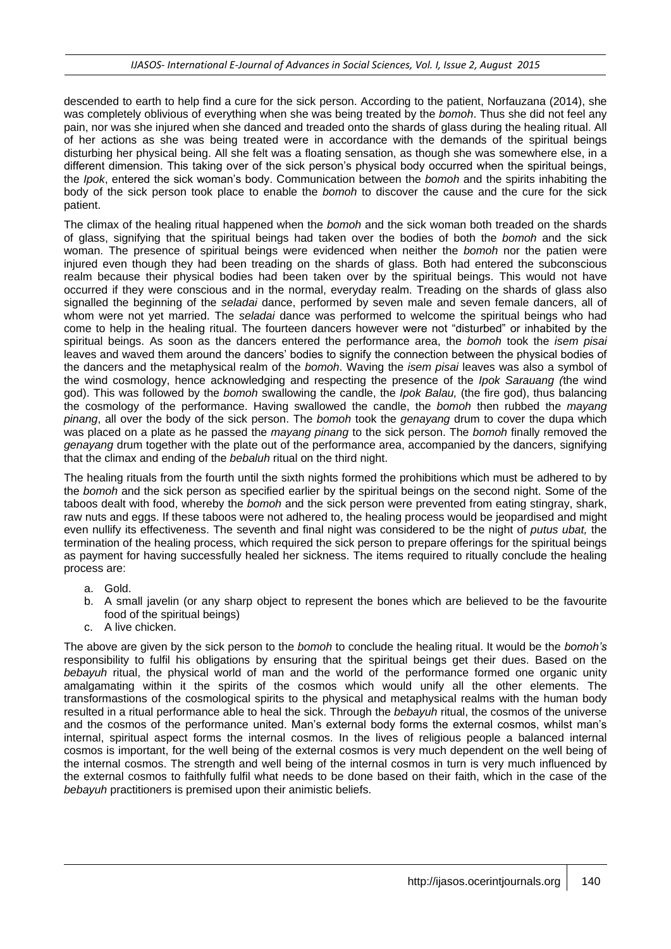descended to earth to help find a cure for the sick person. According to the patient, Norfauzana (2014), she was completely oblivious of everything when she was being treated by the *bomoh*. Thus she did not feel any pain, nor was she injured when she danced and treaded onto the shards of glass during the healing ritual. All of her actions as she was being treated were in accordance with the demands of the spiritual beings disturbing her physical being. All she felt was a floating sensation, as though she was somewhere else, in a different dimension. This taking over of the sick person's physical body occurred when the spiritual beings, the *Ipok*, entered the sick woman's body. Communication between the *bomoh* and the spirits inhabiting the body of the sick person took place to enable the *bomoh* to discover the cause and the cure for the sick patient.

The climax of the healing ritual happened when the *bomoh* and the sick woman both treaded on the shards of glass, signifying that the spiritual beings had taken over the bodies of both the *bomoh* and the sick woman. The presence of spiritual beings were evidenced when neither the *bomoh* nor the patien were injured even though they had been treading on the shards of glass. Both had entered the subconscious realm because their physical bodies had been taken over by the spiritual beings. This would not have occurred if they were conscious and in the normal, everyday realm. Treading on the shards of glass also signalled the beginning of the *seladai* dance, performed by seven male and seven female dancers, all of whom were not yet married. The *seladai* dance was performed to welcome the spiritual beings who had come to help in the healing ritual. The fourteen dancers however were not "disturbed" or inhabited by the spiritual beings. As soon as the dancers entered the performance area, the *bomoh* took the *isem pisai* leaves and waved them around the dancers' bodies to signify the connection between the physical bodies of the dancers and the metaphysical realm of the *bomoh*. Waving the *isem pisai* leaves was also a symbol of the wind cosmology, hence acknowledging and respecting the presence of the *Ipok Sarauang (*the wind god). This was followed by the *bomoh* swallowing the candle, the *Ipok Balau,* (the fire god), thus balancing the cosmology of the performance. Having swallowed the candle, the *bomoh* then rubbed the *mayang pinang*, all over the body of the sick person. The *bomoh* took the *genayang* drum to cover the dupa which was placed on a plate as he passed the *mayang pinang* to the sick person. The *bomoh* finally removed the *genayang* drum together with the plate out of the performance area, accompanied by the dancers, signifying that the climax and ending of the *bebaluh* ritual on the third night.

The healing rituals from the fourth until the sixth nights formed the prohibitions which must be adhered to by the *bomoh* and the sick person as specified earlier by the spiritual beings on the second night. Some of the taboos dealt with food, whereby the *bomoh* and the sick person were prevented from eating stingray, shark, raw nuts and eggs. If these taboos were not adhered to, the healing process would be jeopardised and might even nullify its effectiveness. The seventh and final night was considered to be the night of *putus ubat,* the termination of the healing process, which required the sick person to prepare offerings for the spiritual beings as payment for having successfully healed her sickness. The items required to ritually conclude the healing process are:

- a. Gold.
- b. A small javelin (or any sharp object to represent the bones which are believed to be the favourite food of the spiritual beings)
- c. A live chicken.

The above are given by the sick person to the *bomoh* to conclude the healing ritual. It would be the *bomoh's* responsibility to fulfil his obligations by ensuring that the spiritual beings get their dues. Based on the *bebayuh* ritual, the physical world of man and the world of the performance formed one organic unity amalgamating within it the spirits of the cosmos which would unify all the other elements. The transformastions of the cosmological spirits to the physical and metaphysical realms with the human body resulted in a ritual performance able to heal the sick. Through the *bebayuh* ritual, the cosmos of the universe and the cosmos of the performance united. Man's external body forms the external cosmos, whilst man's internal, spiritual aspect forms the internal cosmos. In the lives of religious people a balanced internal cosmos is important, for the well being of the external cosmos is very much dependent on the well being of the internal cosmos. The strength and well being of the internal cosmos in turn is very much influenced by the external cosmos to faithfully fulfil what needs to be done based on their faith, which in the case of the *bebayuh* practitioners is premised upon their animistic beliefs.